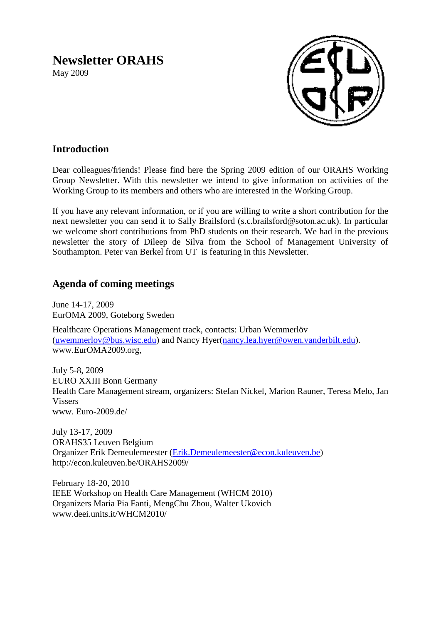# **Newsletter ORAHS**

May 2009



## **Introduction**

Dear colleagues/friends! Please find here the Spring 2009 edition of our ORAHS Working Group Newsletter. With this newsletter we intend to give information on activities of the Working Group to its members and others who are interested in the Working Group.

If you have any relevant information, or if you are willing to write a short contribution for the next newsletter you can send it to Sally Brailsford (s.c.brailsford@soton.ac.uk). In particular we welcome short contributions from PhD students on their research. We had in the previous newsletter the story of Dileep de Silva from the School of Management University of Southampton. Peter van Berkel from UT is featuring in this Newsletter.

## **Agenda of coming meetings**

June 14-17, 2009 EurOMA 2009, Goteborg Sweden

Healthcare Operations Management track, contacts: Urban Wemmerlöv [\(uwemmerlov@bus.wisc.edu\)](mailto:uwemmerlov@bus.wisc.edu) and Nancy Hyer[\(nancy.lea.hyer@owen.vanderbilt.edu\)](mailto:nancy.lea.hyer@owen.vanderbilt.edu). [www.EurOMA2009.org,](http://www.euroma2009.org/)

July 5-8, 2009 EURO XXIII Bonn Germany Health Care Management stream, organizers: Stefan Nickel, Marion Rauner, Teresa Melo, Jan Vissers www. Euro-2009.de/

July 13-17, 2009 ORAHS35 Leuven Belgium Organizer Erik Demeulemeester [\(Erik.Demeulemeester@econ.kuleuven.be\)](mailto:Erik.Demeulemeester@econ.kuleuven.be) http://econ.kuleuven.be/ORAHS2009/

February 18-20, 2010 IEEE Workshop on Health Care Management (WHCM 2010) Organizers Maria Pia Fanti, MengChu Zhou, Walter Ukovich www.deei.units.it/WHCM2010/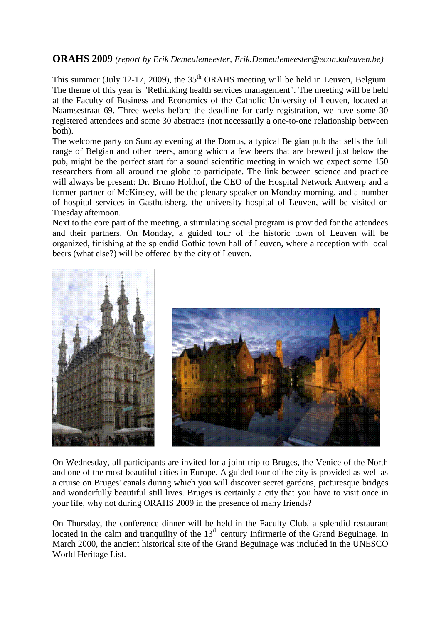### **ORAHS 2009** *(report by Erik Demeulemeester, Erik.Demeulemeester@econ.kuleuven.be)*

This summer (July 12-17, 2009), the  $35<sup>th</sup>$  ORAHS meeting will be held in Leuven, Belgium. The theme of this year is "Rethinking health services management". The meeting will be held at the Faculty of Business and Economics of the Catholic University of Leuven, located at Naamsestraat 69. Three weeks before the deadline for early registration, we have some 30 registered attendees and some 30 abstracts (not necessarily a one-to-one relationship between both).

The welcome party on Sunday evening at the Domus, a typical Belgian pub that sells the full range of Belgian and other beers, among which a few beers that are brewed just below the pub, might be the perfect start for a sound scientific meeting in which we expect some 150 researchers from all around the globe to participate. The link between science and practice will always be present: Dr. Bruno Holthof, the CEO of the Hospital Network Antwerp and a former partner of McKinsey, will be the plenary speaker on Monday morning, and a number of hospital services in Gasthuisberg, the university hospital of Leuven, will be visited on Tuesday afternoon.

Next to the core part of the meeting, a stimulating social program is provided for the attendees and their partners. On Monday, a guided tour of the historic town of Leuven will be organized, finishing at the splendid Gothic town hall of Leuven, where a reception with local beers (what else?) will be offered by the city of Leuven.



On Wednesday, all participants are invited for a joint trip to Bruges, the Venice of the North and one of the most beautiful cities in Europe. A guided tour of the city is provided as well as a cruise on Bruges' canals during which you will discover secret gardens, picturesque bridges and wonderfully beautiful still lives. Bruges is certainly a city that you have to visit once in your life, why not during ORAHS 2009 in the presence of many friends?

On Thursday, the conference dinner will be held in the Faculty Club, a splendid restaurant located in the calm and tranquility of the  $13<sup>th</sup>$  century Infirmerie of the Grand Beguinage. In March 2000, the ancient historical site of the Grand Beguinage was included in the UNESCO World Heritage List.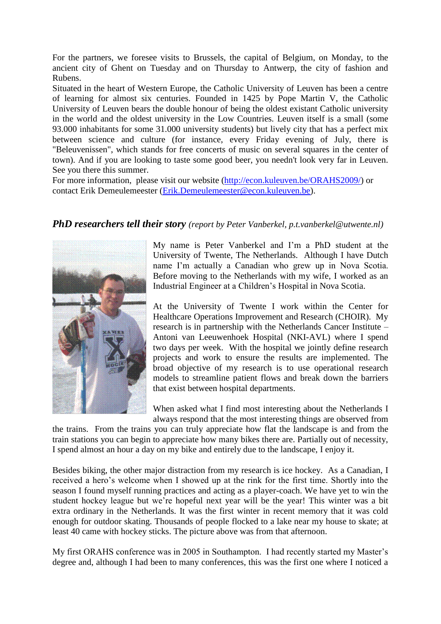For the partners, we foresee visits to Brussels, the capital of Belgium, on Monday, to the ancient city of Ghent on Tuesday and on Thursday to Antwerp, the city of fashion and Rubens.

Situated in the heart of Western Europe, the Catholic University of Leuven has been a centre of learning for almost six centuries. Founded in 1425 by Pope Martin V, the Catholic University of Leuven bears the double honour of being the oldest existant Catholic university in the world and the oldest university in the Low Countries. Leuven itself is a small (some 93.000 inhabitants for some 31.000 university students) but lively city that has a perfect mix between science and culture (for instance, every Friday evening of July, there is "Beleuvenissen", which stands for free concerts of music on several squares in the center of town). And if you are looking to taste some good beer, you needn't look very far in Leuven. See you there this summer.

For more information, please visit our website [\(http://econ.kuleuven.be/ORAHS2009/\)](http://econ.kuleuven.be/ORAHS2009/) or contact Erik Demeulemeester [\(Erik.Demeulemeester@econ.kuleuven.be\)](mailto:Erik.Demeulemeester@econ.kuleuven.be).

#### *PhD researchers tell their story (report by Peter Vanberkel, p.t.vanberkel@utwente.nl)*



My name is Peter Vanberkel and I'm a PhD student at the University of Twente, The Netherlands. Although I have Dutch name I'm actually a Canadian who grew up in Nova Scotia. Before moving to the Netherlands with my wife, I worked as an Industrial Engineer at a Children's Hospital in Nova Scotia.

At the University of Twente I work within the Center for Healthcare Operations Improvement and Research (CHOIR). My research is in partnership with the Netherlands Cancer Institute – Antoni van Leeuwenhoek Hospital (NKI-AVL) where I spend two days per week. With the hospital we jointly define research projects and work to ensure the results are implemented. The broad objective of my research is to use operational research models to streamline patient flows and break down the barriers that exist between hospital departments.

When asked what I find most interesting about the Netherlands I always respond that the most interesting things are observed from

the trains. From the trains you can truly appreciate how flat the landscape is and from the train stations you can begin to appreciate how many bikes there are. Partially out of necessity, I spend almost an hour a day on my bike and entirely due to the landscape, I enjoy it.

Besides biking, the other major distraction from my research is ice hockey. As a Canadian, I received a hero's welcome when I showed up at the rink for the first time. Shortly into the season I found myself running practices and acting as a player-coach. We have yet to win the student hockey league but we're hopeful next year will be the year! This winter was a bit extra ordinary in the Netherlands. It was the first winter in recent memory that it was cold enough for outdoor skating. Thousands of people flocked to a lake near my house to skate; at least 40 came with hockey sticks. The picture above was from that afternoon.

My first ORAHS conference was in 2005 in Southampton. I had recently started my Master's degree and, although I had been to many conferences, this was the first one where I noticed a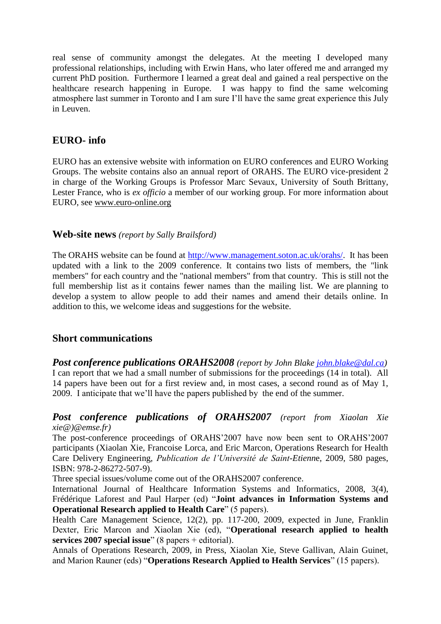real sense of community amongst the delegates. At the meeting I developed many professional relationships, including with Erwin Hans, who later offered me and arranged my current PhD position. Furthermore I learned a great deal and gained a real perspective on the healthcare research happening in Europe. I was happy to find the same welcoming atmosphere last summer in Toronto and I am sure I'll have the same great experience this July in Leuven.

## **EURO- info**

EURO has an extensive website with information on EURO conferences and EURO Working Groups. The website contains also an annual report of ORAHS. The EURO vice-president 2 in charge of the Working Groups is Professor Marc Sevaux, University of South Brittany, Lester France, who is *ex officio* a member of our working group. For more information about EURO, see [www.euro-online.org](http://www.euro-online.org/) 

#### **Web-site news** *(report by Sally Brailsford)*

The ORAHS website can be found at [http://www.management.soton.ac.uk/orahs/.](http://www.management.soton.ac.uk/orahs/) It has been updated with a link to the 2009 conference. It contains two lists of members, the "link members" for each country and the "national members" from that country. This is still not the full membership list as it contains fewer names than the mailing list. We are planning to develop a system to allow people to add their names and amend their details online. In addition to this, we welcome ideas and suggestions for the website.

## **Short communications**

*Post conference publications ORAHS2008 (report by John Blake [john.blake@dal.ca\)](mailto:john.blake@dal.ca)* I can report that we had a small number of submissions for the proceedings (14 in total). All 14 papers have been out for a first review and, in most cases, a second round as of May 1, 2009. I anticipate that we'll have the papers published by the end of the summer.

#### *Post conference publications of ORAHS2007 (report from Xiaolan Xie xie@)@emse.fr)*

The post-conference proceedings of ORAHS'2007 have now been sent to ORAHS'2007 participants (Xiaolan Xie, Francoise Lorca, and Eric Marcon, Operations Research for Health Care Delivery Engineering, *Publication de l'Université de Saint-Etienn*e, 2009, 580 pages, ISBN: 978-2-86272-507-9).

Three special issues/volume come out of the ORAHS2007 conference.

International Journal of Healthcare Information Systems and Informatics, 2008, 3(4), Frédérique Laforest and Paul Harper (ed) "**Joint advances in Information Systems and Operational Research applied to Health Care**" (5 papers).

Health Care Management Science, 12(2), pp. 117-200, 2009, expected in June, Franklin Dexter, Eric Marcon and Xiaolan Xie (ed), "**Operational research applied to health services 2007 special issue**" (8 papers + editorial).

Annals of Operations Research, 2009, in Press, Xiaolan Xie, Steve Gallivan, Alain Guinet, and Marion Rauner (eds) "**Operations Research Applied to Health Services**" (15 papers).